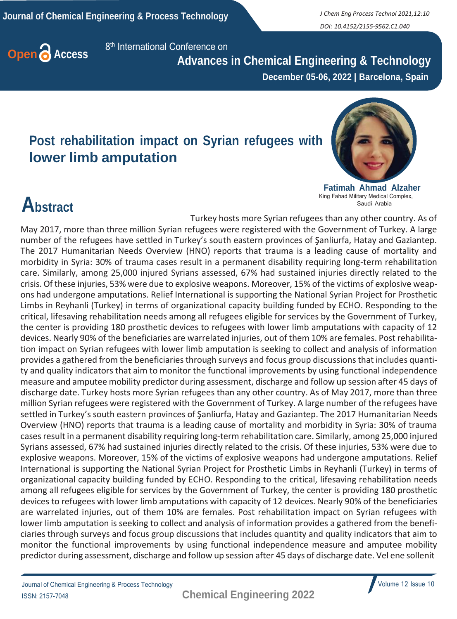*DOI: 10.4152/2155-9562.C1.040*



8<sup>th</sup> International Conference on

 **Advances in Chemical Engineering & Technology December 05-06, 2022 | Barcelona, Spain**

#### **Post rehabilitation impact on Syrian refugees with lower limb amputation**



**Fatimah Ahmad Alzaher** King Fahad Military Medical Complex, Saudi Arabia

## **Abstract**

Turkey hosts more Syrian refugees than any other country. As of May 2017, more than three million Syrian refugees were registered with the Government of Turkey. A large number of the refugees have settled in Turkey's south eastern provinces of Şanliurfa, Hatay and Gaziantep. The 2017 Humanitarian Needs Overview (HNO) reports that trauma is a leading cause of mortality and morbidity in Syria: 30% of trauma cases result in a permanent disability requiring long-term rehabilitation care. Similarly, among 25,000 injured Syrians assessed, 67% had sustained injuries directly related to the crisis. Of these injuries, 53% were due to explosive weapons. Moreover, 15% of the victims of explosive weapons had undergone amputations. Relief International is supporting the National Syrian Project for Prosthetic Limbs in Reyhanli (Turkey) in terms of organizational capacity building funded by ECHO. Responding to the critical, lifesaving rehabilitation needs among all refugees eligible for services by the Government of Turkey, the center is providing 180 prosthetic devices to refugees with lower limb amputations with capacity of 12 devices. Nearly 90% of the beneficiaries are warrelated injuries, out of them 10% are females. Post rehabilitation impact on Syrian refugees with lower limb amputation is seeking to collect and analysis of information provides a gathered from the beneficiaries through surveys and focus group discussions that includes quantity and quality indicators that aim to monitor the functional improvements by using functional independence measure and amputee mobility predictor during assessment, discharge and follow up session after 45 days of discharge date. Turkey hosts more Syrian refugees than any other country. As of May 2017, more than three million Syrian refugees were registered with the Government of Turkey. A large number of the refugees have settled in Turkey's south eastern provinces of Şanliurfa, Hatay and Gaziantep. The 2017 Humanitarian Needs Overview (HNO) reports that trauma is a leading cause of mortality and morbidity in Syria: 30% of trauma casesresult in a permanent disability requiring long-term rehabilitation care. Similarly, among 25,000 injured Syrians assessed, 67% had sustained injuries directly related to the crisis. Of these injuries, 53% were due to explosive weapons. Moreover, 15% of the victims of explosive weapons had undergone amputations. Relief International is supporting the National Syrian Project for Prosthetic Limbs in Reyhanli (Turkey) in terms of organizational capacity building funded by ECHO. Responding to the critical, lifesaving rehabilitation needs among all refugees eligible for services by the Government of Turkey, the center is providing 180 prosthetic devices to refugees with lower limb amputations with capacity of 12 devices. Nearly 90% of the beneficiaries are warrelated injuries, out of them 10% are females. Post rehabilitation impact on Syrian refugees with lower limb amputation is seeking to collect and analysis of information provides a gathered from the beneficiaries through surveys and focus group discussions that includes quantity and quality indicators that aim to monitor the functional improvements by using functional independence measure and amputee mobility predictor during assessment, discharge and follow up session after 45 days of discharge date. Vel ene sollenit